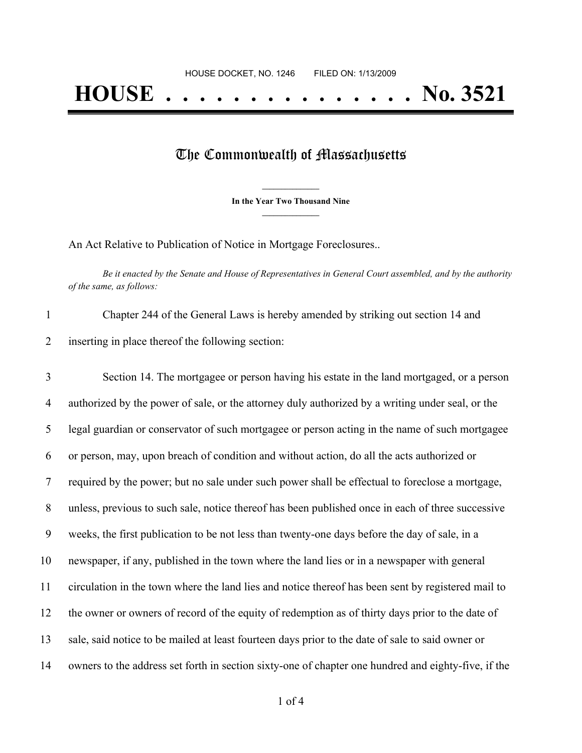## The Commonwealth of Massachusetts

**\_\_\_\_\_\_\_\_\_\_\_\_\_\_\_ In the Year Two Thousand Nine \_\_\_\_\_\_\_\_\_\_\_\_\_\_\_**

An Act Relative to Publication of Notice in Mortgage Foreclosures..

Be it enacted by the Senate and House of Representatives in General Court assembled, and by the authority *of the same, as follows:*

| Chapter 244 of the General Laws is hereby amended by striking out section 14 and |
|----------------------------------------------------------------------------------|
| inserting in place thereof the following section:                                |

 Section 14. The mortgagee or person having his estate in the land mortgaged, or a person authorized by the power of sale, or the attorney duly authorized by a writing under seal, or the legal guardian or conservator of such mortgagee or person acting in the name of such mortgagee or person, may, upon breach of condition and without action, do all the acts authorized or required by the power; but no sale under such power shall be effectual to foreclose a mortgage, unless, previous to such sale, notice thereof has been published once in each of three successive weeks, the first publication to be not less than twenty-one days before the day of sale, in a newspaper, if any, published in the town where the land lies or in a newspaper with general circulation in the town where the land lies and notice thereof has been sent by registered mail to the owner or owners of record of the equity of redemption as of thirty days prior to the date of sale, said notice to be mailed at least fourteen days prior to the date of sale to said owner or owners to the address set forth in section sixty-one of chapter one hundred and eighty-five, if the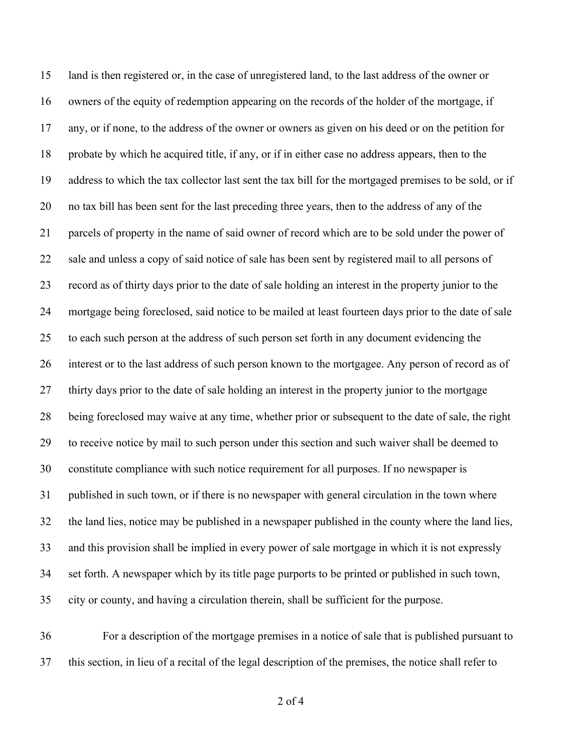land is then registered or, in the case of unregistered land, to the last address of the owner or owners of the equity of redemption appearing on the records of the holder of the mortgage, if any, or if none, to the address of the owner or owners as given on his deed or on the petition for probate by which he acquired title, if any, or if in either case no address appears, then to the address to which the tax collector last sent the tax bill for the mortgaged premises to be sold, or if no tax bill has been sent for the last preceding three years, then to the address of any of the parcels of property in the name of said owner of record which are to be sold under the power of sale and unless a copy of said notice of sale has been sent by registered mail to all persons of record as of thirty days prior to the date of sale holding an interest in the property junior to the mortgage being foreclosed, said notice to be mailed at least fourteen days prior to the date of sale to each such person at the address of such person set forth in any document evidencing the interest or to the last address of such person known to the mortgagee. Any person of record as of thirty days prior to the date of sale holding an interest in the property junior to the mortgage being foreclosed may waive at any time, whether prior or subsequent to the date of sale, the right to receive notice by mail to such person under this section and such waiver shall be deemed to constitute compliance with such notice requirement for all purposes. If no newspaper is published in such town, or if there is no newspaper with general circulation in the town where the land lies, notice may be published in a newspaper published in the county where the land lies, and this provision shall be implied in every power of sale mortgage in which it is not expressly set forth. A newspaper which by its title page purports to be printed or published in such town, city or county, and having a circulation therein, shall be sufficient for the purpose.

 For a description of the mortgage premises in a notice of sale that is published pursuant to this section, in lieu of a recital of the legal description of the premises, the notice shall refer to

of 4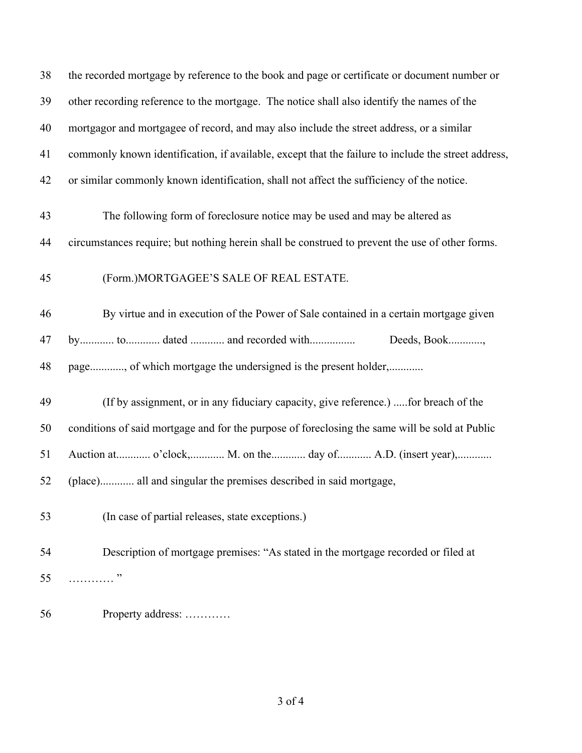| 38 | the recorded mortgage by reference to the book and page or certificate or document number or        |
|----|-----------------------------------------------------------------------------------------------------|
| 39 | other recording reference to the mortgage. The notice shall also identify the names of the          |
| 40 | mortgagor and mortgagee of record, and may also include the street address, or a similar            |
| 41 | commonly known identification, if available, except that the failure to include the street address, |
| 42 | or similar commonly known identification, shall not affect the sufficiency of the notice.           |
| 43 | The following form of foreclosure notice may be used and may be altered as                          |
| 44 | circumstances require; but nothing herein shall be construed to prevent the use of other forms.     |
| 45 | (Form.) MORTGAGEE'S SALE OF REAL ESTATE.                                                            |
| 46 | By virtue and in execution of the Power of Sale contained in a certain mortgage given               |
| 47 | by to dated  and recorded with<br>Deeds, Book,                                                      |
| 48 | page, of which mortgage the undersigned is the present holder,                                      |
| 49 | (If by assignment, or in any fiduciary capacity, give reference.) for breach of the                 |
| 50 | conditions of said mortgage and for the purpose of foreclosing the same will be sold at Public      |
| 51 | Auction at o'clock, M. on the day of A.D. (insert year),                                            |
| 52 | (place) all and singular the premises described in said mortgage,                                   |
| 53 | (In case of partial releases, state exceptions.)                                                    |
| 54 | Description of mortgage premises: "As stated in the mortgage recorded or filed at                   |
| 55 | .                                                                                                   |
| 56 | Property address:                                                                                   |

of 4